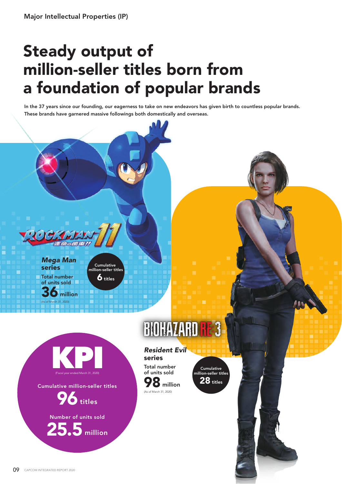## Steady output of million-seller titles born from a foundation of popular brands

In the 37 years since our founding, our eagerness to take on new endeavors has given birth to countless popular brands. These brands have garnered massive followings both domestically and overseas.



Total number of units sold million *Mega Man* series

(As of March 31, 2020)

Cumulative million-seller titles  $\overline{\mathbf{6}}$  titles

## BIOHAZARD

KPI (Fiscal year ended March 31, 2020)

Cumulative million-seller titles



25.5 million Number of units sold

Total number *Resident Evil* series

of units sold 98 million of March 31, 2020)

Cumulative million-seller titles 28 titles